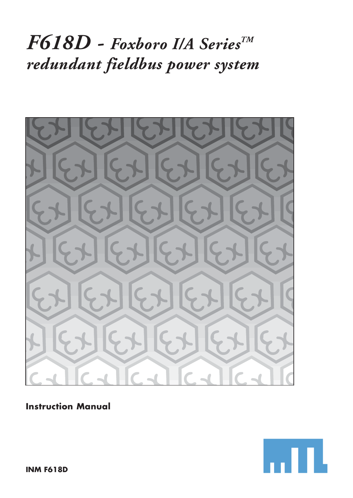# *F618D - Foxboro I/A SeriesTM redundant fieldbus power system*



# **Instruction Manual**

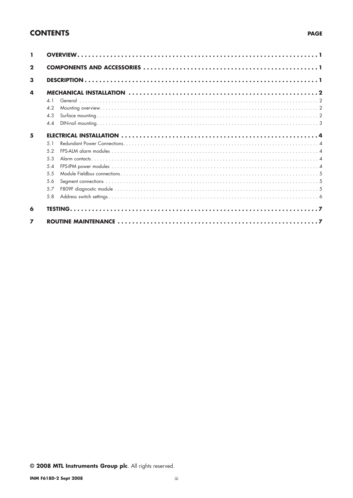## **CONTENTS**

| $\mathbf{2}$   |            |  |
|----------------|------------|--|
| 3              |            |  |
| 4              |            |  |
|                | $\Delta$ 1 |  |
|                | 4.2        |  |
|                | 4.3        |  |
|                | 44         |  |
| 5              |            |  |
|                | 51         |  |
|                | 5.2        |  |
|                | 5.3        |  |
|                | $.5\Delta$ |  |
|                | 5.5        |  |
|                | 5.6        |  |
|                | 5.7        |  |
|                | 5.8        |  |
| 6              |            |  |
| $\overline{ }$ |            |  |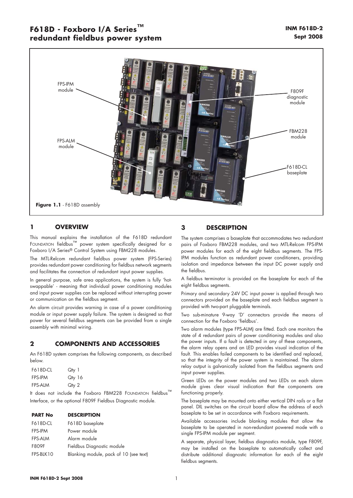## **F618D - Foxboro I/A Series™ redundant fieldbus power system**



## **1 OVERVIEW**

This manual explains the installation of the F618D redundant FOUNDATION fieldbus™ power system specifically designed for a Foxboro I/A Series® Control System using FBM228 modules.

The MTL-Relcom redundant fieldbus power system (FPS-Series) provides redundant power conditioning for fieldbus network segments and facilitates the connection of redundant input power supplies.

In general purpose, safe area applications, the system is fully 'hotswappable' - meaning that individual power conditioning modules and input power supplies can be replaced without interrupting power or communication on the fieldbus segment.

An alarm circuit provides warning in case of a power conditioning module or input power supply failure. The system is designed so that power for several fieldbus segments can be provided from a single assembly with minimal wiring.

## **2 COMPONENTS AND ACCESSORIES**

An F618D system comprises the following components, as described below.

| <b>F618D-CL</b> | Qty 1  |
|-----------------|--------|
| <b>FPS-IPM</b>  | Qty 16 |
| <b>FPS-ALM</b>  | Qty 2  |

It does not include the Foxboro FBM228 FOUNDATION fieldbus™ Interface, or the optional F809F Fieldbus Diagnostic module.

| <b>PART No</b>  | <b>DESCRIPTION</b> |  |
|-----------------|--------------------|--|
| <b>F618D-CL</b> | F618D baseplate    |  |
| <b>FPS-IPM</b>  | Power module       |  |
| FPS-AIM         | Alarm module       |  |

| F809F     | Fieldbus Diagnostic module             |
|-----------|----------------------------------------|
| FPS-BLK10 | Blanking module, pack of 10 (see text) |

## **3 DESCRIPTION**

The system comprises a baseplate that accommodates two redundant pairs of Foxboro FBM228 modules, and two MTL-Relcom FPS-IPM power modules for each of the eight fieldbus segments. The FPS-IPM modules function as redundant power conditioners, providing isolation and impedance between the input DC power supply and the fieldbus.

A fieldbus terminator is provided on the baseplate for each of the eight fieldbus segments.

Primary and secondary 24V DC input power is applied through two connectors provided on the baseplate and each fieldbus segment is provided with two-part pluggable terminals.

Two sub-minature 9-way 'D' connectors provide the means of connection for the Foxboro 'fieldbus'.

Two alarm modules (type FPS-ALM) are fitted. Each one monitors the state of 4 redundant pairs of power conditioning modules and also the power inputs. If a fault is detected in any of these components, the alarm relay opens and an LED provides visual indication of the fault. This enables failed components to be identified and replaced, so that the integrity of the power system is maintained. The alarm relay output is galvanically isolated from the fieldbus segments and input power supplies.

Green LEDs on the power modules and two LEDs on each alarm module gives clear visual indication that the components are functioning properly.

The baseplate may be mounted onto either vertical DIN rails or a flat panel. DIL switches on the circuit board allow the address of each baseplate to be set in accordance with Foxboro requirements.

Available accessories include blanking modules that allow the baseplate to be operated in non-redundant powered mode with a single FPS-IPM module per segment.

A separate, physical layer, fieldbus diagnostics module, type F809F, may be installed on the baseplate to automatically collect and distribute additional diagnostic information for each of the eight fieldbus segments.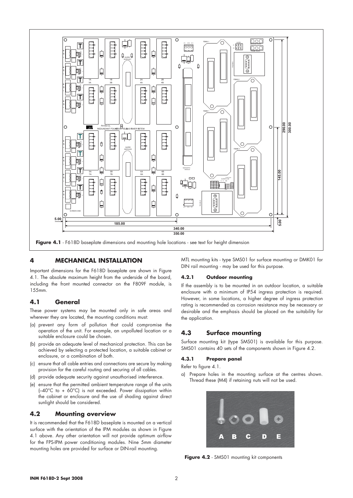

## **4 MECHANICAL INSTALLATION**

Important dimensions for the F618D baseplate are shown in Figure 4.1. The absolute maximum height from the underside of the board, including the front mounted connector on the F809F module, is 155mm.

## **4.1 General**

These power systems may be mounted only in safe areas and wherever they are located, the mounting conditions must:

- (a) prevent any form of pollution that could compromise the operation of the unit. For example, an unpolluted location or a suitable enclosure could be chosen.
- (b) provide an adequate level of mechanical protection. This can be achieved by selecting a protected location, a suitable cabinet or enclosure, or a combination of both.
- (c) ensure that all cable entries and connections are secure by making provision for the careful routing and securing of all cables.
- (d) provide adequate security against unauthorised interference.
- (e) ensure that the permitted ambient temperature range of the units (–40°C to + 60°C) is not exceeded. Power dissipation within the cabinet or enclosure and the use of shading against direct sunlight should be considered.

## **4.2 Mounting overview**

It is recommended that the F618D baseplate is mounted on a vertical surface with the orientation of the IPM modules as shown in Figure 4.1 above. Any other orientation will not provide optimum airflow for the FPS-IPM power conditioning modules. Nine 5mm diameter mounting holes are provided for surface or DIN-rail mounting.

MTL mounting kits - type SMS01 for surface mounting or DMK01 for DIN rail mounting - may be used for this purpose.

### **4.2.1 Outdoor mounting**

If the assembly is to be mounted in an outdoor location, a suitable enclosure with a minimum of IP54 ingress protection is required. However, in some locations, a higher degree of ingress protection rating is recommended as corrosion resistance may be necessary or desirable and the emphasis should be placed on the suitability for the application.

## **4.3 Surface mounting**

Surface mounting kit (type SMS01) is available for this purpose. SMS01 contains 40 sets of the components shown in Figure 4.2.

## **4.3.1 Prepare panel**

Refer to figure 4.1.

a) Prepare holes in the mounting surface at the centres shown. Thread these (M4) if retaining nuts will not be used.



Figure 4.2 - SMS01 mounting kit components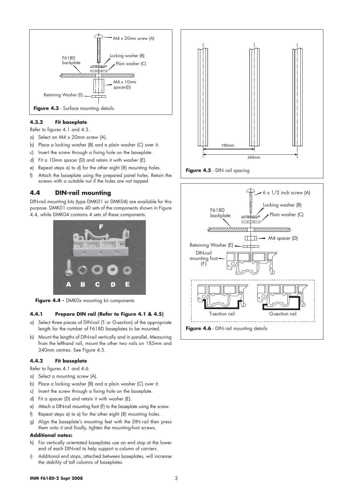

## **4.3.2 Fit baseplate**

Refer to figures 4.1 and 4.3.

- a) Select an M4 x 20mm screw (A).
- b) Place a locking washer (B) and a plain washer (C) over it.
- c) Insert the screw through a fixing hole on the baseplate.
- d) Fit a 10mm spacer (D) and retain it with washer (E).
- e) Repeat steps a) to d) for the other eight (8) mounting holes.
- f) Attach the baseplate using the prepared panel holes. Retain the screws with a suitable nut if the holes are not tapped.

## **4.4 DIN-rail mounting**

DIN-rail mounting kits (type DMK01 or DMK04) are available for this purpose. DMK01 contains 40 sets of the components shown in Figure 4.4, while DMK04 contains 4 sets of these components.



Figure 4.4 - DMK0x mounting kit components

## **4.4.1 Prepare DIN rail (Refer to Figure 4.1 & 4.5)**

- a) Select three pieces of DIN-rail (T- or G-section) of the appropriate length for the number of F618D baseplates to be mounted.
- b) Mount the lengths of DIN-rail vertically and in parallel. Measuring from the lefthand rail, mount the other two rails on 185mm and 340mm centres. See Figure 4.5.

### **4.4.2 Fit baseplate**

Refer to figures 4.1 and 4.6.

- a) Select a mounting screw (A).
- b) Place a locking washer (B) and a plain washer (C) over it.
- c) Insert the screw through a fixing hole on the baseplate.
- d) Fit a spacer (D) and retain it with washer (E).
- e) Attach a DIN-rail mounting foot (F) to the baseplate using the screw.
- f) Repeat steps a) to e) for the other eight (8) mounting holes.
- g) Align the baseplate's mounting feet with the DIN rail then press them onto it and finally, tighten the mounting-foot screws.

### **Additional notes:**

- h) For vertically orientated baseplates use an end stop at the lower end of each DIN-rail to help support a column of carriers.
- i) Additional end stops, attached between baseplates, will increase the stability of tall columns of baseplates.



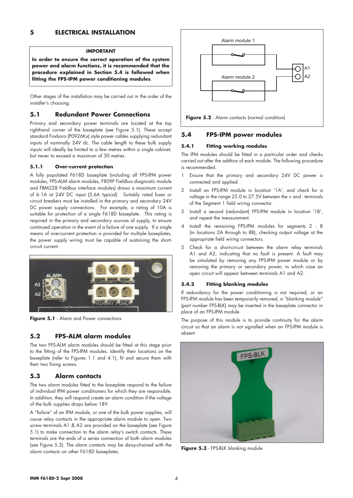#### **IMPORTANT**

**In order to ensure the correct operation of the system power and alarm functions, it is recommended that the procedure explained in Section 5.4 is followed when fitting the FPS-IPM power conditioning modules**.

Other stages of the installation may be carried out in the order of the installer's choosing.

## **5.1 Redundant Power Connections**

Primary and secondary power terminals are located at the top righthand corner of the baseplate (see Figure 5.1). These accept standard Foxboro (P0926Kx) style power cables supplying redundant inputs of nominally 24V dc. The cable length to these bulk supply inputs will ideally be limited to a few metres within a single cabinet, but never to exceed a maximum of 30 metres.

### **5.1.1 Over-current protection**

A fully populated F618D baseplate (including all FPS-IPM power modules, FPS-ALM alarm modules, F809F Fieldbus diagnostic module and FBM228 Fieldbus interface modules) draws a maximum current of 6.1A at 24V DC input (5.6A typical). Suitably rated fuses or circuit breakers must be installed in the primary and secondary 24V DC power supply connections. For example, a rating of 10A is suitable for protection of a single F618D baseplate. This rating is required in the primary and secondary sources of supply, to ensure continued operation in the event of a failure of one supply. If a single means of over-current protection is provided for multiple baseplates, the power supply wiring must be capable of sustaining the shortcircuit current.



Figure 5.1 - Alarm and Power connections

## **5.2 FPS-ALM alarm modules**

The two FPS-ALM alarm modules should be fitted at this stage prior to the fitting of the FPS-IPM modules. Identify their locations on the baseplate (refer to Figures 1.1 and 4.1), fit and secure them with their two fixing screws.

## **5.3 Alarm contacts**

The two alarm modules fitted to the baseplate respond to the failure of individual IPM power conditioners for which they are responsible. In addition, they will respond create an alarm condition if the voltage of the bulk supplies drops below 18V.

A "failure" of an IPM module, or one of the bulk power supplies, will cause relay contacts in the appropriate alarm module to open. Two screw terminals A1 & A2 are provided on the baseplate (see Figure 5.1) to make connection to the alarm relay's switch contacts. These terminals are the ends of a series connection of both alarm modules (see Figure 5.2). The alarm contacts may be daisy-chained with the alarm contacts on other F618D baseplates.



## **5.4 FPS-IPM power modules**

#### **5.4.1 Fitting working modules**

The IPM modules should be fitted in a particular order and checks carried out after the addtion of each module. The following procedure is recommended.

- 1 Ensure that the primary and secondary 24V DC power is connected and applied.
- 2 Install an FPS-IPM module in location '1A', and check for a voltage in the range 25.0 to 27.5V between the + and - terminals of the Segment 1 field wiring connector.
- 3 Install a second (redundant) FPS-IPM module in location '1B', and repeat the measurement.
- 4 Install the remaining FPS-IPM modules for segments 2 8 (in locations 2A through to 8B), checking output voltage at the appropriate field wiring connectors.
- 5 Check for a short-circuit between the alarm relay terminals A1 and A2, indicating that no fault is present. A fault may be simulated by removing any FPS-IPM power module or by removing the primary or secondary power, in which case an open circuit will appear between terminals A1 and A2.

#### **5.4.2 Fitting blanking modules**

If redundancy for the power conditioning is not required, or an FPS-IPM module has been temporarily removed, a "blanking module" (part number FPS-BLK) may be inserted in the baseplate connector in place of an FPS-IPM module.

The purpose of this module is to provide continuity for the alarm circuit so that an alarm is not signalled when an FPS-IPM module is absent.



**Figure 5.3** - FPS-BLK blanking module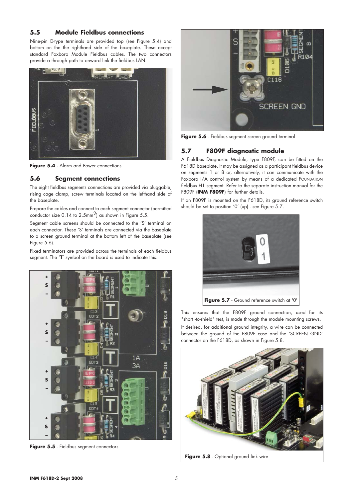## **5.5 Module Fieldbus connections**

Nine-pin D-type terminals are provided top (see Figure 5.4) and bottom on the the righthand side of the baseplate. These accept standard Foxboro Module Fieldbus cables. The two connectors provide a through path to onward link the fieldbus LAN.



**Figure 5.4** - Alarm and Power connections

## **5.6 Segment connections**

The eight fieldbus segments connections are provided via pluggable, rising cage clamp, screw terminals located on the lefthand side of the baseplate.

Prepare the cables and connect to each segment connector (permitted conductor size 0.14 to 2.5mm2) as shown in Figure 5.5.

Segment cable screens should be connected to the 'S' terminal on each connector. These 'S' terminals are connected via the baseplate to a screen ground terminal at the bottom left of the baseplate (see Figure 5.6).

Fixed terminators are provided across the terminals of each fieldbus segment. The '**T**' symbol on the board is used to indicate this.



**Figure 5.5** - Fieldbus segment connectors



Figure 5.6 - Fieldbus segment screen ground terminal

## **5.7 F809F diagnostic module**

A Fieldbus Diagnostic Module, type F809F, can be fitted on the F618D baseplate. It may be assigned as a participant fieldbus device on segments 1 or 8 or, alternatively, it can communicate with the Foxboro I/A control system by means of a dedicated FOUNDATION fieldbus H1 segment. Refer to the separate instruction manual for the F809F (INM F809F) for further details.

If an F809F is mounted on the F618D, its ground reference switch should be set to position '0' (up) - see Figure 5.7.



This ensures that the F809F ground connection, used for its "short -to-shield" test, is made through the module mounting screws.

If desired, for additional ground integrity, a wire can be connected between the ground of the F809F case and the 'SCREEN GND' connector on the F618D, as shown in Figure 5.8.



**Figure 5.8** - Optional ground link wire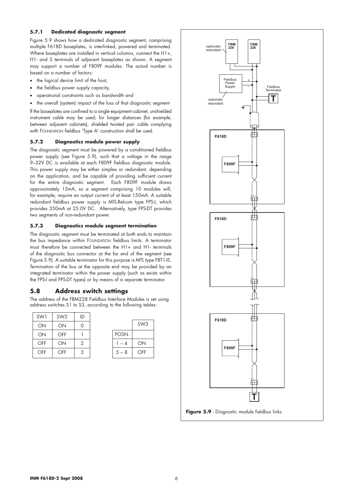## **5.7.1 Dedicated diagnostic segment**

Figure 5.9 shows how a dedicated diagnostic segment, comprising multiple F618D baseplates, is interlinked, powered and terminated. Where baseplates are installed in vertical columns, connect the H1+, H1- and S terminals of adjacent baseplates as shown. A segment may support a number of F809F modules. The actual number is based on a number of factors:

- the logical device limit of the host,
- the fieldbus power supply capacity,
- operational constraints such as bandwidth and
- the overall (system) impact of the loss of that diagnostic segment

If the baseplates are confined to a single equipment cabinet, unshielded instrument cable may be used; for longer distances (for example, between adjacent cabinets), shielded twisted pair cable complying with FOUNDATION fieldbus 'Type A' construction shall be used.

#### **5.7.2 Diagnostics module power supply**

The diagnostic segment must be powered by a conditioned fieldbus power supply (see Figure 5.9), such that a voltage in the range 9–32V DC is available at each F809F fieldbus diagnostic module. This power supply may be either simplex or redundant, depending on the application, and be capable of providing sufficient current for the entire diagnostic segment. Each F809F module draws approximately 15mA, so a segment comprising 10 modules will, for example, require an output current of at least 150mA. A suitable redundant fieldbus power supply is MTL-Relcom type FPS-I, which provides 350mA at 25.0V DC. Alternatively, type FPS-DT provides two segments of non-redundant power.

## **5.7.3 Diagnostics module segment termination**

The diagnostic segment must be terminated at both ends to maintain the bus impedance within FOUNDATION fieldbus limits. A terminator must therefore be connected between the H1+ and H1- terminals of the diagnostic bus connector at the far end of the segment (see Figure 5.9). A suitable terminator for this purpose is MTL type FBT1-IS. Termination of the bus at the opposite end may be provided by an integrated terminator within the power supply (such as exists within the FPS-I and FPS-DT types) or by means of a separate terminator.

## **5.8 Address switch settings**

The address of the FBM228 Fieldbus Interface Modules is set using address switches S1 to S3, according to the following tables:

| SW1 | SW <sub>2</sub> | ID             |  |
|-----|-----------------|----------------|--|
| ON  | ON              | 0              |  |
| ON  | OFF             |                |  |
| OFF | ON              | $\mathfrak{D}$ |  |
| OFF | OFF             | 3              |  |
|     |                 |                |  |

|         | SW <sub>3</sub> |
|---------|-----------------|
| POSN.   |                 |
| $-4$    | ON              |
| $5 - 8$ | OFF             |

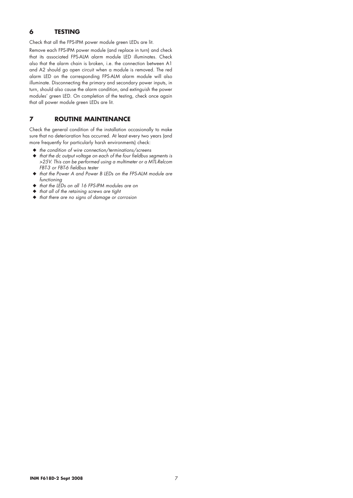## **6 TESTING**

Check that all the FPS-IPM power module green LEDs are lit.

Remove each FPS-IPM power module (and replace in turn) and check that its associated FPS-ALM alarm module LED illuminates. Check also that the alarm chain is broken, i.e. the connection between A1 and A2 should go open circuit when a module is removed. The red alarm LED on the corresponding FPS-ALM alarm module will also illuminate. Disconnecting the primary and secondary power inputs, in turn, should also cause the alarm condition, and extinguish the power modules' green LED. On completion of the testing, check once again that all power module green LEDs are lit.

## **7 ROUTINE MAINTENANCE**

Check the general condition of the installation occasionally to make sure that no deterioration has occurred. At least every two years (and more frequently for particularly harsh environments) check:

- ◆ *the condition of wire connection/terminations/screens*
- ◆ *that the dc output voltage on each of the four fieldbus segments is >25V. This can be performed using a multimeter or a MTL-Relcom FBT-3 or FBT-6 fieldbus tester*
- ◆ *that the Power A and Power B LEDs on the FPS-ALM module are functioning*
- ◆ *that the LEDs on all 16 FPS-IPM modules are on*
- ◆ *that all of the retaining screws are tight*
- ◆ *that there are no signs of damage or corrosion*